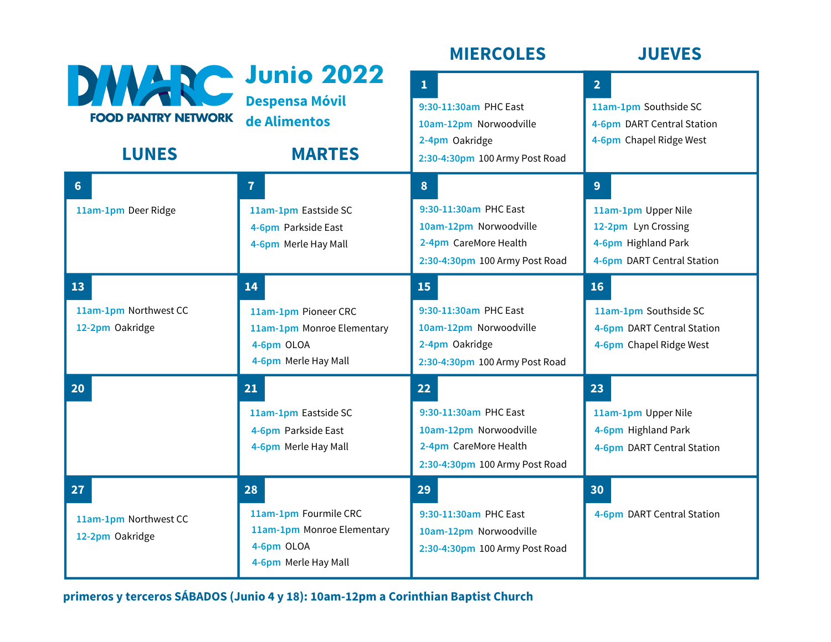|                                                                |                                                                                                 | <b>MIERCOLES</b>                                                                                                    | <b>JUEVES</b>                                                                                        |
|----------------------------------------------------------------|-------------------------------------------------------------------------------------------------|---------------------------------------------------------------------------------------------------------------------|------------------------------------------------------------------------------------------------------|
| DWARC Junio 2022<br><b>FOOD PANTRY NETWORK</b><br><b>LUNES</b> | <b>Despensa Móvil</b><br>de Alimentos<br><b>MARTES</b>                                          | $\mathbf{1}$<br>9:30-11:30am PHC East<br>10am-12pm Norwoodville<br>2-4pm Oakridge<br>2:30-4:30pm 100 Army Post Road | 2 <sup>1</sup><br>11am-1pm Southside SC<br>4-6pm DART Central Station<br>4-6pm Chapel Ridge West     |
| 6<br>11am-1pm Deer Ridge                                       | $\overline{7}$<br>11am-1pm Eastside SC<br>4-6pm Parkside East<br>4-6pm Merle Hay Mall           | 8<br>9:30-11:30am PHC East<br>10am-12pm Norwoodville<br>2-4pm CareMore Health<br>2:30-4:30pm 100 Army Post Road     | 9<br>11am-1pm Upper Nile<br>12-2pm Lyn Crossing<br>4-6pm Highland Park<br>4-6pm DART Central Station |
| 13<br>11am-1pm Northwest CC<br>12-2pm Oakridge                 | 14<br>11am-1pm Pioneer CRC<br>11am-1pm Monroe Elementary<br>4-6pm OLOA<br>4-6pm Merle Hay Mall  | 15<br>9:30-11:30am PHC East<br>10am-12pm Norwoodville<br>2-4pm Oakridge<br>2:30-4:30pm 100 Army Post Road           | 16<br>11am-1pm Southside SC<br>4-6pm DART Central Station<br>4-6pm Chapel Ridge West                 |
| 20                                                             | 21<br>11am-1pm Eastside SC<br>4-6pm Parkside East<br>4-6pm Merle Hay Mall                       | 22<br>9:30-11:30am PHC East<br>10am-12pm Norwoodville<br>2-4pm CareMore Health<br>2:30-4:30pm 100 Army Post Road    | 23<br>11am-1pm Upper Nile<br>4-6pm Highland Park<br>4-6pm DART Central Station                       |
| 27<br>11am-1pm Northwest CC<br>12-2pm Oakridge                 | 28<br>11am-1pm Fourmile CRC<br>11am-1pm Monroe Elementary<br>4-6pm OLOA<br>4-6pm Merle Hay Mall | 29<br>9:30-11:30am PHC East<br>10am-12pm Norwoodville<br>2:30-4:30pm 100 Army Post Road                             | 30<br>4-6pm DART Central Station                                                                     |

**primeros y terceros SÁBADOS (Junio 4 y 18): 10am-12pm a Corinthian Baptist Church**